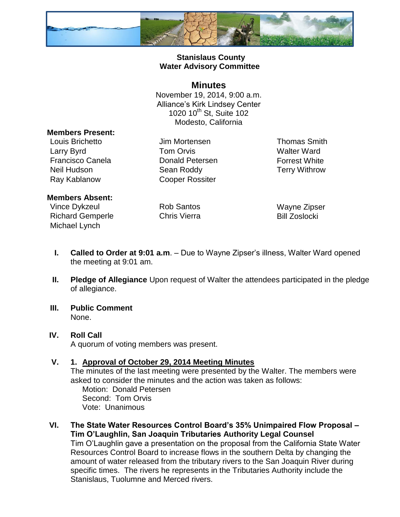

# **Stanislaus County Water Advisory Committee**

# **Minutes**

November 19, 2014, 9:00 a.m. Alliance's Kirk Lindsey Center 1020 10<sup>th</sup> St, Suite 102 Modesto, California

### **Members Present:**

Louis Brichetto Jim Mortensen Thomas Smith Larry Byrd **Tom Orvis CONS** Walter Ward Francisco Canela **Donald Petersen** Forrest White Neil Hudson Sean Roddy Terry Withrow Ray Kablanow Cooper Rossiter

### **Members Absent:**

Vince Dykzeul **Rob Santos** Wayne Zipser Richard Gemperle Chris Vierra **Bill Zoslocki** Michael Lynch

- **I. Called to Order at 9:01 a.m**. Due to Wayne Zipser's illness, Walter Ward opened the meeting at 9:01 am.
- **II. Pledge of Allegiance** Upon request of Walter the attendees participated in the pledge of allegiance.
- **III. Public Comment** None.
- **IV. Roll Call** A quorum of voting members was present.

## **V. 1. Approval of October 29, 2014 Meeting Minutes**

The minutes of the last meeting were presented by the Walter. The members were asked to consider the minutes and the action was taken as follows:

Motion: Donald Petersen Second: Tom Orvis Vote: Unanimous

**VI. The State Water Resources Control Board's 35% Unimpaired Flow Proposal – Tim O'Laughlin, San Joaquin Tributaries Authority Legal Counsel**

Tim O'Laughlin gave a presentation on the proposal from the California State Water Resources Control Board to increase flows in the southern Delta by changing the amount of water released from the tributary rivers to the San Joaquin River during specific times. The rivers he represents in the Tributaries Authority include the Stanislaus, Tuolumne and Merced rivers.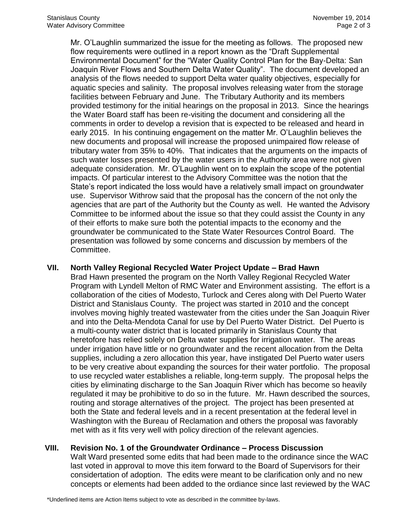Mr. O'Laughlin summarized the issue for the meeting as follows. The proposed new flow requirements were outlined in a report known as the "Draft Supplemental Environmental Document" for the "Water Quality Control Plan for the Bay-Delta: San Joaquin River Flows and Southern Delta Water Quality". The document developed an analysis of the flows needed to support Delta water quality objectives, especially for aquatic species and salinity. The proposal involves releasing water from the storage facilities between February and June. The Tributary Authority and its members provided testimony for the initial hearings on the proposal in 2013. Since the hearings the Water Board staff has been re-visiting the document and considering all the comments in order to develop a revision that is expected to be released and heard in early 2015. In his continuing engagement on the matter Mr. O'Laughlin believes the new documents and proposal will increase the proposed unimpaired flow release of tributary water from 35% to 40%. That indicates that the arguments on the impacts of such water losses presented by the water users in the Authority area were not given adequate consideration. Mr. O'Laughlin went on to explain the scope of the potential impacts. Of particular interest to the Advisory Committee was the notion that the State's report indicated the loss would have a relatively small impact on groundwater use. Supervisor Withrow said that the proposal has the concern of the not only the agencies that are part of the Authority but the County as well. He wanted the Advisory Committee to be informed about the issue so that they could assist the County in any of their efforts to make sure both the potential impacts to the economy and the groundwater be communicated to the State Water Resources Control Board. The presentation was followed by some concerns and discussion by members of the Committee.

#### **VII. North Valley Regional Recycled Water Project Update – Brad Hawn**

Brad Hawn presented the program on the North Valley Regional Recycled Water Program with Lyndell Melton of RMC Water and Environment assisting. The effort is a collaboration of the cities of Modesto, Turlock and Ceres along with Del Puerto Water District and Stanislaus County. The project was started in 2010 and the concept involves moving highly treated wastewater from the cities under the San Joaquin River and into the Delta-Mendota Canal for use by Del Puerto Water District. Del Puerto is a multi-county water district that is located primarily in Stanislaus County that heretofore has relied solely on Delta water supplies for irrigation water. The areas under irrigation have little or no groundwater and the recent allocation from the Delta supplies, including a zero allocation this year, have instigated Del Puerto water users to be very creative about expanding the sources for their water portfolio. The proposal to use recycled water establishes a reliable, long-term supply. The proposal helps the cities by eliminating discharge to the San Joaquin River which has become so heavily regulated it may be prohibitive to do so in the future. Mr. Hawn described the sources, routing and storage alternatives of the project. The project has been presented at both the State and federal levels and in a recent presentation at the federal level in Washington with the Bureau of Reclamation and others the proposal was favorably met with as it fits very well with policy direction of the relevant agencies.

## **VIII. Revision No. 1 of the Groundwater Ordinance – Process Discussion**

Walt Ward presented some edits that had been made to the ordinance since the WAC last voted in approval to move this item forward to the Board of Supervisors for their considertation of adoption. The edits were meant to be clarification only and no new concepts or elements had been added to the ordiance since last reviewed by the WAC

\*Underlined items are Action Items subject to vote as described in the committee by-laws.